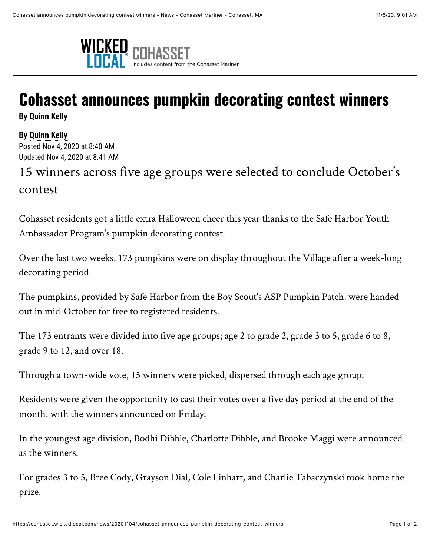

## **Cohasset announces pumpkin decorating contest winners**

**By [Quinn Kelly](mailto:qkelly@wickedlocal.com)**

**By [Quinn Kelly](mailto:qkelly@wickedlocal.com)**

Posted Nov 4, 2020 at 8:40 AM Updated Nov 4, 2020 at 8:41 AM

15 winners across five age groups were selected to conclude October's contest

Cohasset residents got a little extra Halloween cheer this year thanks to the Safe Harbor Youth Ambassador Program's pumpkin decorating contest.

Over the last two weeks, 173 pumpkins were on display throughout the Village after a week-long decorating period.

The pumpkins, provided by Safe Harbor from the Boy Scout's ASP Pumpkin Patch, were handed out in mid-October for free to registered residents.

The 173 entrants were divided into five age groups; age 2 to grade 2, grade 3 to 5, grade 6 to 8, grade 9 to 12, and over 18.

Through a town-wide vote, 15 winners were picked, dispersed through each age group.

Residents were given the opportunity to cast their votes over a five day period at the end of the month, with the winners announced on Friday.

In the youngest age division, Bodhi Dibble, Charlotte Dibble, and Brooke Maggi were announced as the winners.

For grades 3 to 5, Bree Cody, Grayson Dial, Cole Linhart, and Charlie Tabaczynski took home the prize.